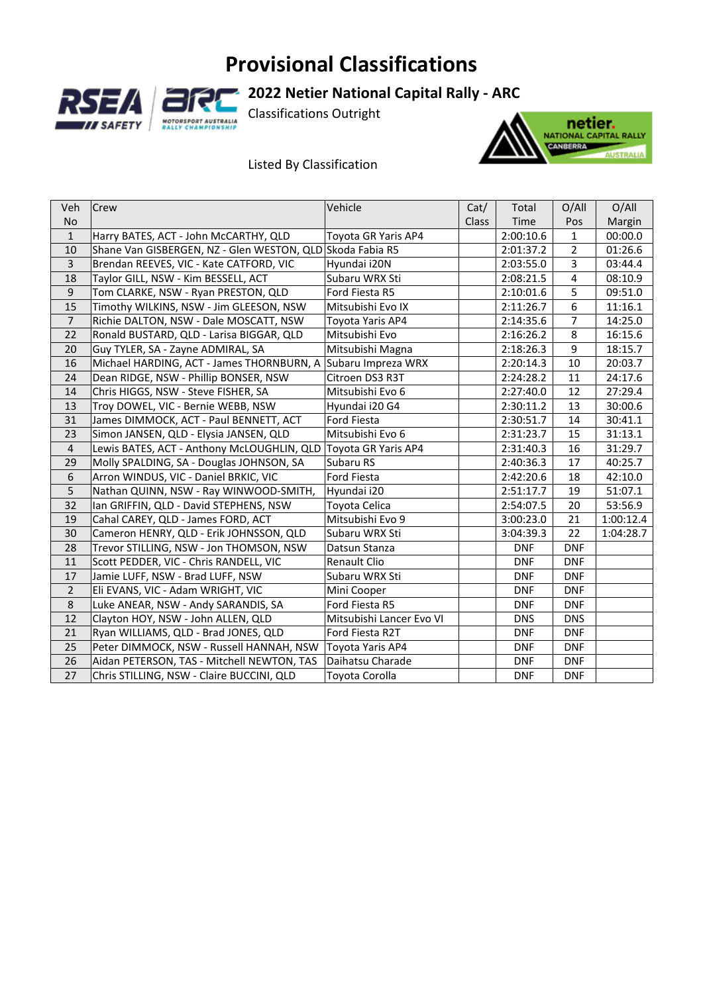### **Provisional Classifications**





### **2022 Netier National Capital Rally ‐ ARC**

Classifications Outright

### Listed By Classification



| <b>Veh</b>     | <b>Crew</b>                                               | Vehicle                  | Cat/         | Total      | O/All          | O/All     |
|----------------|-----------------------------------------------------------|--------------------------|--------------|------------|----------------|-----------|
| <b>No</b>      |                                                           |                          | <b>Class</b> | Time       | Pos            | Margin    |
| $\mathbf{1}$   | Harry BATES, ACT - John McCARTHY, QLD                     | Toyota GR Yaris AP4      |              | 2:00:10.6  | $\mathbf{1}$   | 00:00.0   |
| 10             | Shane Van GISBERGEN, NZ - Glen WESTON, QLD Skoda Fabia R5 |                          |              | 2:01:37.2  | $\overline{2}$ | 01:26.6   |
| $\overline{3}$ | Brendan REEVES, VIC - Kate CATFORD, VIC                   | Hyundai i20N             |              | 2:03:55.0  | 3              | 03:44.4   |
| 18             | Taylor GILL, NSW - Kim BESSELL, ACT                       | Subaru WRX Sti           |              | 2:08:21.5  | 4              | 08:10.9   |
| $\mathsf g$    | Tom CLARKE, NSW - Ryan PRESTON, QLD                       | Ford Fiesta R5           |              | 2:10:01.6  | 5              | 09:51.0   |
| 15             | Timothy WILKINS, NSW - Jim GLEESON, NSW                   | Mitsubishi Evo IX        |              | 2:11:26.7  | 6              | 11:16.1   |
| $\overline{7}$ | Richie DALTON, NSW - Dale MOSCATT, NSW                    | Toyota Yaris AP4         |              | 2:14:35.6  | $\overline{7}$ | 14:25.0   |
| 22             | Ronald BUSTARD, QLD - Larisa BIGGAR, QLD                  | Mitsubishi Evo           |              | 2:16:26.2  | 8              | 16:15.6   |
| 20             | Guy TYLER, SA - Zayne ADMIRAL, SA                         | Mitsubishi Magna         |              | 2:18:26.3  | 9              | 18:15.7   |
| 16             | Michael HARDING, ACT - James THORNBURN, A                 | Subaru Impreza WRX       |              | 2:20:14.3  | 10             | 20:03.7   |
| 24             | Dean RIDGE, NSW - Phillip BONSER, NSW                     | Citroen DS3 R3T          |              | 2:24:28.2  | 11             | 24:17.6   |
| 14             | Chris HIGGS, NSW - Steve FISHER, SA                       | Mitsubishi Evo 6         |              | 2:27:40.0  | 12             | 27:29.4   |
| 13             | Troy DOWEL, VIC - Bernie WEBB, NSW                        | Hyundai i20 G4           |              | 2:30:11.2  | 13             | 30:00.6   |
| 31             | James DIMMOCK, ACT - Paul BENNETT, ACT                    | Ford Fiesta              |              | 2:30:51.7  | 14             | 30:41.1   |
| 23             | Simon JANSEN, QLD - Elysia JANSEN, QLD                    | Mitsubishi Evo 6         |              | 2:31:23.7  | 15             | 31:13.1   |
| 4              | Lewis BATES, ACT - Anthony McLOUGHLIN, QLD                | Toyota GR Yaris AP4      |              | 2:31:40.3  | 16             | 31:29.7   |
| 29             | Molly SPALDING, SA - Douglas JOHNSON, SA                  | Subaru RS                |              | 2:40:36.3  | 17             | 40:25.7   |
| 6              | Arron WINDUS, VIC - Daniel BRKIC, VIC                     | Ford Fiesta              |              | 2:42:20.6  | 18             | 42:10.0   |
| 5              | Nathan QUINN, NSW - Ray WINWOOD-SMITH,                    | Hyundai i20              |              | 2:51:17.7  | 19             | 51:07.1   |
| 32             | Ian GRIFFIN, QLD - David STEPHENS, NSW                    | Toyota Celica            |              | 2:54:07.5  | 20             | 53:56.9   |
| 19             | Cahal CAREY, QLD - James FORD, ACT                        | Mitsubishi Evo 9         |              | 3:00:23.0  | 21             | 1:00:12.4 |
| 30             | Cameron HENRY, QLD - Erik JOHNSSON, QLD                   | Subaru WRX Sti           |              | 3:04:39.3  | 22             | 1:04:28.7 |
| 28             | Trevor STILLING, NSW - Jon THOMSON, NSW                   | Datsun Stanza            |              | <b>DNF</b> | <b>DNF</b>     |           |
| 11             | Scott PEDDER, VIC - Chris RANDELL, VIC                    | <b>Renault Clio</b>      |              | <b>DNF</b> | <b>DNF</b>     |           |
| 17             | Jamie LUFF, NSW - Brad LUFF, NSW                          | Subaru WRX Sti           |              | <b>DNF</b> | <b>DNF</b>     |           |
| $\overline{2}$ | Eli EVANS, VIC - Adam WRIGHT, VIC                         | Mini Cooper              |              | <b>DNF</b> | <b>DNF</b>     |           |
| 8              | Luke ANEAR, NSW - Andy SARANDIS, SA                       | Ford Fiesta R5           |              | <b>DNF</b> | <b>DNF</b>     |           |
| 12             | Clayton HOY, NSW - John ALLEN, QLD                        | Mitsubishi Lancer Evo VI |              | <b>DNS</b> | <b>DNS</b>     |           |
| 21             | Ryan WILLIAMS, QLD - Brad JONES, QLD                      | Ford Fiesta R2T          |              | <b>DNF</b> | <b>DNF</b>     |           |
| 25             | Peter DIMMOCK, NSW - Russell HANNAH, NSW                  | Toyota Yaris AP4         |              | <b>DNF</b> | <b>DNF</b>     |           |
| 26             | Aidan PETERSON, TAS - Mitchell NEWTON, TAS                | Daihatsu Charade         |              | <b>DNF</b> | <b>DNF</b>     |           |
| 27             | Chris STILLING, NSW - Claire BUCCINI, QLD                 | Toyota Corolla           |              | <b>DNF</b> | <b>DNF</b>     |           |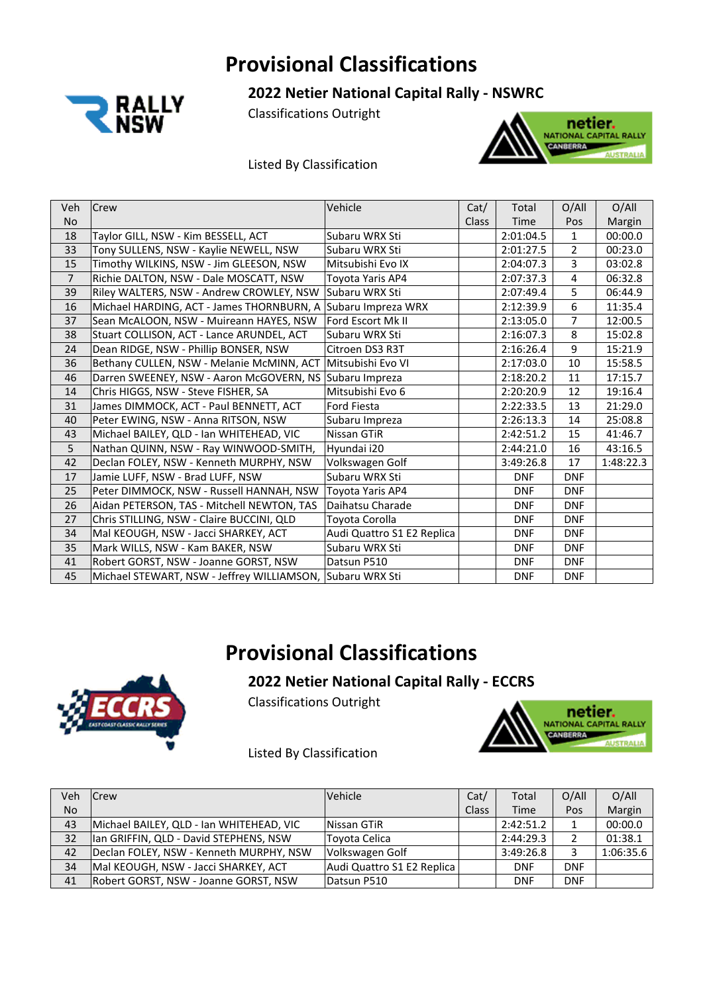### **Provisional Classifications**



**2022 Netier National Capital Rally ‐ NSWRC** 

Classifications Outright

### Listed By Classification



| Veh            | <b>Crew</b>                                                  | Vehicle                    | Cat/         | Total      | O/AlI          | O/AlI     |
|----------------|--------------------------------------------------------------|----------------------------|--------------|------------|----------------|-----------|
| <b>No</b>      |                                                              |                            | <b>Class</b> | Time       | Pos            | Margin    |
| 18             | Taylor GILL, NSW - Kim BESSELL, ACT                          | Subaru WRX Sti             |              | 2:01:04.5  | $\mathbf{1}$   | 00:00.0   |
| 33             | Tony SULLENS, NSW - Kaylie NEWELL, NSW                       | Subaru WRX Sti             |              | 2:01:27.5  | $\overline{2}$ | 00:23.0   |
| 15             | Timothy WILKINS, NSW - Jim GLEESON, NSW                      | Mitsubishi Evo IX          |              | 2:04:07.3  | 3              | 03:02.8   |
| $\overline{7}$ | Richie DALTON, NSW - Dale MOSCATT, NSW                       | Toyota Yaris AP4           |              | 2:07:37.3  | 4              | 06:32.8   |
| 39             | Riley WALTERS, NSW - Andrew CROWLEY, NSW                     | Subaru WRX Sti             |              | 2:07:49.4  | 5              | 06:44.9   |
| 16             | Michael HARDING, ACT - James THORNBURN, A Subaru Impreza WRX |                            |              | 2:12:39.9  | 6              | 11:35.4   |
| 37             | Sean McALOON, NSW - Muireann HAYES, NSW                      | <b>Ford Escort Mk II</b>   |              | 2:13:05.0  | $\overline{7}$ | 12:00.5   |
| 38             | Stuart COLLISON, ACT - Lance ARUNDEL, ACT                    | Subaru WRX Sti             |              | 2:16:07.3  | 8              | 15:02.8   |
| 24             | Dean RIDGE, NSW - Phillip BONSER, NSW                        | Citroen DS3 R3T            |              | 2:16:26.4  | 9              | 15:21.9   |
| 36             | Bethany CULLEN, NSW - Melanie McMINN, ACT                    | Mitsubishi Evo VI          |              | 2:17:03.0  | 10             | 15:58.5   |
| 46             | Darren SWEENEY, NSW - Aaron McGOVERN, NS Subaru Impreza      |                            |              | 2:18:20.2  | 11             | 17:15.7   |
| 14             | Chris HIGGS, NSW - Steve FISHER, SA                          | Mitsubishi Evo 6           |              | 2:20:20.9  | 12             | 19:16.4   |
| 31             | James DIMMOCK, ACT - Paul BENNETT, ACT                       | Ford Fiesta                |              | 2:22:33.5  | 13             | 21:29.0   |
| 40             | Peter EWING, NSW - Anna RITSON, NSW                          | Subaru Impreza             |              | 2:26:13.3  | 14             | 25:08.8   |
| 43             | Michael BAILEY, QLD - Ian WHITEHEAD, VIC                     | Nissan GTiR                |              | 2:42:51.2  | 15             | 41:46.7   |
| 5              | Nathan QUINN, NSW - Ray WINWOOD-SMITH,                       | Hyundai i20                |              | 2:44:21.0  | 16             | 43:16.5   |
| 42             | Declan FOLEY, NSW - Kenneth MURPHY, NSW                      | Volkswagen Golf            |              | 3:49:26.8  | 17             | 1:48:22.3 |
| 17             | Jamie LUFF, NSW - Brad LUFF, NSW                             | Subaru WRX Sti             |              | <b>DNF</b> | <b>DNF</b>     |           |
| 25             | Peter DIMMOCK, NSW - Russell HANNAH, NSW                     | Toyota Yaris AP4           |              | <b>DNF</b> | <b>DNF</b>     |           |
| 26             | Aidan PETERSON, TAS - Mitchell NEWTON, TAS                   | Daihatsu Charade           |              | <b>DNF</b> | <b>DNF</b>     |           |
| 27             | Chris STILLING, NSW - Claire BUCCINI, QLD                    | Toyota Corolla             |              | <b>DNF</b> | <b>DNF</b>     |           |
| 34             | Mal KEOUGH, NSW - Jacci SHARKEY, ACT                         | Audi Quattro S1 E2 Replica |              | <b>DNF</b> | <b>DNF</b>     |           |
| 35             | Mark WILLS, NSW - Kam BAKER, NSW                             | Subaru WRX Sti             |              | <b>DNF</b> | <b>DNF</b>     |           |
| 41             | Robert GORST, NSW - Joanne GORST, NSW                        | Datsun P510                |              | <b>DNF</b> | <b>DNF</b>     |           |
| 45             | Michael STEWART, NSW - Jeffrey WILLIAMSON, Subaru WRX Sti    |                            |              | <b>DNF</b> | <b>DNF</b>     |           |

### **Provisional Classifications**

### **2022 Netier National Capital Rally ‐ ECCRS**





Listed By Classification

| Veh | lCrew                                    | <b>Vehicle</b>             | Cat/         | Total      | O/All      | O/All     |
|-----|------------------------------------------|----------------------------|--------------|------------|------------|-----------|
| No  |                                          |                            | <b>Class</b> | Time       | Pos        | Margin    |
| 43  | Michael BAILEY, QLD - Ian WHITEHEAD, VIC | Nissan GTiR                |              | 2:42:51.2  |            | 00:00.0   |
| 32  | Ian GRIFFIN, QLD - David STEPHENS, NSW   | Toyota Celica              |              | 2:44:29.3  |            | 01:38.1   |
| 42  | Declan FOLEY, NSW - Kenneth MURPHY, NSW  | Volkswagen Golf            |              | 3:49:26.8  |            | 1:06:35.6 |
| 34  | Mal KEOUGH, NSW - Jacci SHARKEY, ACT     | Audi Quattro S1 E2 Replica |              | <b>DNF</b> | <b>DNF</b> |           |
| 41  | Robert GORST, NSW - Joanne GORST, NSW    | Datsun P510                |              | <b>DNF</b> | <b>DNF</b> |           |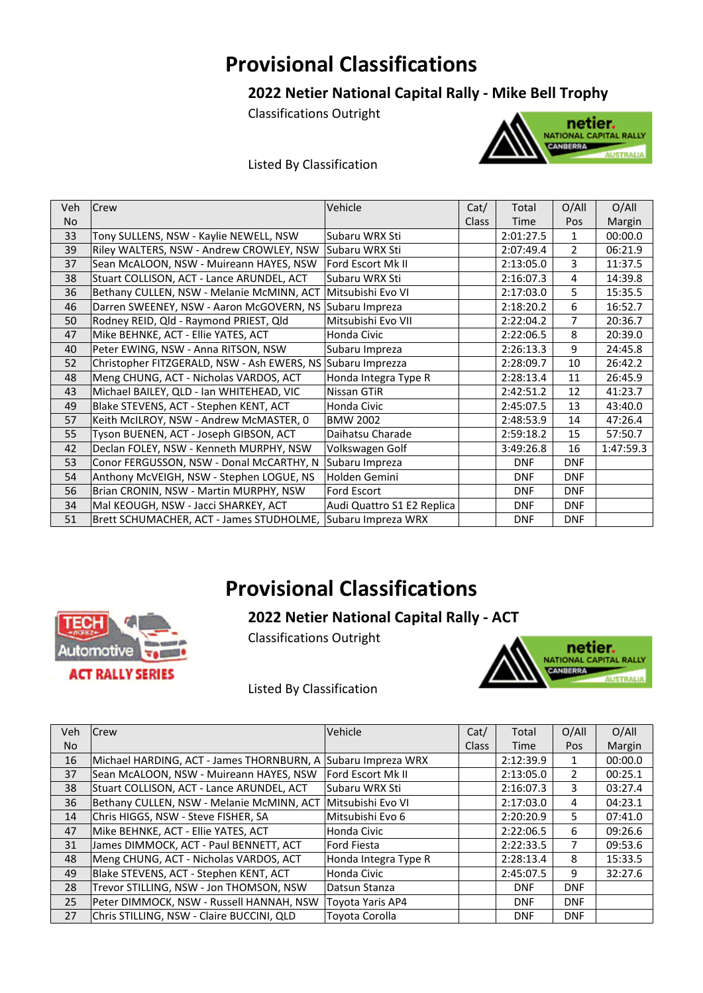### **Provisional Classifications**

### **2022 Netier National Capital Rally ‐ Mike Bell Trophy**

Classifications Outright



### Listed By Classification

| Veh | <b>Crew</b>                                                 | Vehicle                    | Cat/         | Total      | O/All          | O/Al <sub>l</sub> |
|-----|-------------------------------------------------------------|----------------------------|--------------|------------|----------------|-------------------|
| No  |                                                             |                            | <b>Class</b> | Time       | Pos            | Margin            |
| 33  | Tony SULLENS, NSW - Kaylie NEWELL, NSW                      | Subaru WRX Sti             |              | 2:01:27.5  | 1              | 00:00.0           |
| 39  | Riley WALTERS, NSW - Andrew CROWLEY, NSW                    | Subaru WRX Sti             |              | 2:07:49.4  | $\overline{2}$ | 06:21.9           |
| 37  | Sean McALOON, NSW - Muireann HAYES, NSW                     | Ford Escort Mk II          |              | 2:13:05.0  | 3              | 11:37.5           |
| 38  | Stuart COLLISON, ACT - Lance ARUNDEL, ACT                   | Subaru WRX Sti             |              | 2:16:07.3  | 4              | 14:39.8           |
| 36  | Bethany CULLEN, NSW - Melanie McMINN, ACT                   | Mitsubishi Evo VI          |              | 2:17:03.0  | 5.             | 15:35.5           |
| 46  | Darren SWEENEY, NSW - Aaron McGOVERN, NS Subaru Impreza     |                            |              | 2:18:20.2  | 6              | 16:52.7           |
| 50  | Rodney REID, Qld - Raymond PRIEST, Qld                      | Mitsubishi Evo VII         |              | 2:22:04.2  | 7              | 20:36.7           |
| 47  | Mike BEHNKE, ACT - Ellie YATES, ACT                         | Honda Civic                |              | 2:22:06.5  | 8              | 20:39.0           |
| 40  | Peter EWING, NSW - Anna RITSON, NSW                         | Subaru Impreza             |              | 2:26:13.3  | 9              | 24:45.8           |
| 52  | Christopher FITZGERALD, NSW - Ash EWERS, NS Subaru Imprezza |                            |              | 2:28:09.7  | 10             | 26:42.2           |
| 48  | Meng CHUNG, ACT - Nicholas VARDOS, ACT                      | Honda Integra Type R       |              | 2:28:13.4  | 11             | 26:45.9           |
| 43  | Michael BAILEY, QLD - Ian WHITEHEAD, VIC                    | Nissan GTiR                |              | 2:42:51.2  | 12             | 41:23.7           |
| 49  | Blake STEVENS, ACT - Stephen KENT, ACT                      | Honda Civic                |              | 2:45:07.5  | 13             | 43:40.0           |
| 57  | Keith McILROY, NSW - Andrew McMASTER, 0                     | <b>BMW 2002</b>            |              | 2:48:53.9  | 14             | 47:26.4           |
| 55  | Tyson BUENEN, ACT - Joseph GIBSON, ACT                      | Daihatsu Charade           |              | 2:59:18.2  | 15             | 57:50.7           |
| 42  | Declan FOLEY, NSW - Kenneth MURPHY, NSW                     | Volkswagen Golf            |              | 3:49:26.8  | 16             | 1:47:59.3         |
| 53  | Conor FERGUSSON, NSW - Donal McCARTHY, N                    | Subaru Impreza             |              | <b>DNF</b> | <b>DNF</b>     |                   |
| 54  | Anthony McVEIGH, NSW - Stephen LOGUE, NS                    | Holden Gemini              |              | <b>DNF</b> | <b>DNF</b>     |                   |
| 56  | Brian CRONIN, NSW - Martin MURPHY, NSW                      | Ford Escort                |              | <b>DNF</b> | <b>DNF</b>     |                   |
| 34  | Mal KEOUGH, NSW - Jacci SHARKEY, ACT                        | Audi Quattro S1 E2 Replica |              | <b>DNF</b> | <b>DNF</b>     |                   |
| 51  | Brett SCHUMACHER, ACT - James STUDHOLME, Subaru Impreza WRX |                            |              | <b>DNF</b> | <b>DNF</b>     |                   |

### **Provisional Classifications**



Classifications Outright

**TECH** 

Automotive

**ACT RALLY SERIES** 



Listed By Classification

| Veh. | <b>Crew</b>                                                 | Vehicle              | Cat/         | Total      | O/All          | O/All   |
|------|-------------------------------------------------------------|----------------------|--------------|------------|----------------|---------|
| No   |                                                             |                      | <b>Class</b> | Time       | Pos            | Margin  |
| 16   | Michael HARDING, ACT - James THORNBURN, A                   | Subaru Impreza WRX   |              | 2:12:39.9  |                | 00:00.0 |
| 37   | Sean McALOON, NSW - Muireann HAYES, NSW                     | Ford Escort Mk II    |              | 2:13:05.0  | $\mathcal{P}$  | 00:25.1 |
| 38   | Stuart COLLISON, ACT - Lance ARUNDEL, ACT                   | Subaru WRX Sti       |              | 2:16:07.3  | $\overline{3}$ | 03:27.4 |
| 36   | Bethany CULLEN, NSW - Melanie McMINN, ACT Mitsubishi Evo VI |                      |              | 2:17:03.0  | 4              | 04:23.1 |
| 14   | Chris HIGGS, NSW - Steve FISHER, SA                         | Mitsubishi Evo 6     |              | 2:20:20.9  | 5.             | 07:41.0 |
| 47   | Mike BEHNKE, ACT - Ellie YATES, ACT                         | Honda Civic          |              | 2:22:06.5  | 6              | 09:26.6 |
| 31   | James DIMMOCK, ACT - Paul BENNETT, ACT                      | <b>Ford Fiesta</b>   |              | 2:22:33.5  |                | 09:53.6 |
| 48   | Meng CHUNG, ACT - Nicholas VARDOS, ACT                      | Honda Integra Type R |              | 2:28:13.4  | 8              | 15:33.5 |
| 49   | Blake STEVENS, ACT - Stephen KENT, ACT                      | Honda Civic          |              | 2:45:07.5  | 9              | 32:27.6 |
| 28   | Trevor STILLING, NSW - Jon THOMSON, NSW                     | Datsun Stanza        |              | <b>DNF</b> | <b>DNF</b>     |         |
| 25   | Peter DIMMOCK, NSW - Russell HANNAH, NSW                    | Tovota Yaris AP4     |              | <b>DNF</b> | <b>DNF</b>     |         |
| 27   | Chris STILLING. NSW - Claire BUCCINI. QLD                   | Tovota Corolla       |              | <b>DNF</b> | <b>DNF</b>     |         |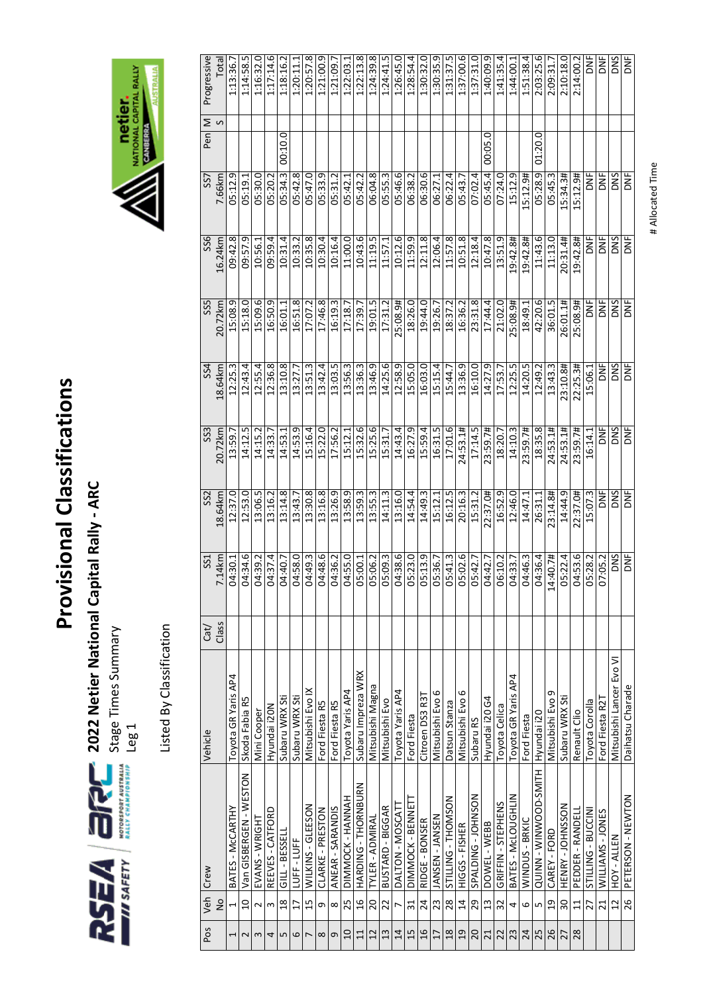

**2022 Netier National Capital Rally ‐ ARC** 

Stage Times Summary

Listed By Classification Listed By Classification



| Veh             | Crew                   | Vehicle                  |       | SS1        | SS <sub>2</sub> | SS <sub>3</sub> | SS4        | SS5               | SS6            | SS <sub>7</sub> |             |                |             |
|-----------------|------------------------|--------------------------|-------|------------|-----------------|-----------------|------------|-------------------|----------------|-----------------|-------------|----------------|-------------|
|                 |                        |                          | Cat/  |            |                 |                 |            |                   |                |                 | Pen         | $\geq$ $\circ$ | Progressive |
| $\frac{1}{2}$   |                        |                          | Class | 7.14km     | 18.64km         | 20.72km         | 18.64 km   | 20.72km           | 16.24km        | 7.66km          |             |                | Total       |
|                 | BATES - McCARTHY       | Toyota GR Yaris AP4      |       | 04:30.1    | 12:37.0         | 13:59.7         | 12:25.3    | 15:08.9           | 09:42.8        | 05:12.9         |             |                | 1:13:36.7   |
| $\overline{a}$  | Van GISBERGEN - WESTON | Skoda Fabia R5           |       | 04:34.6    | 12:53.0         | 14:12.5         | 12:43.4    | 15:18.            | 09:57.9        | 05:19.1         |             |                | 1:14:58.5   |
|                 | EVANS - WRIGHT         | Mini Cooper              |       | 04:39.2    | 13:06.5         | 14:15.2         | 12:55.4    | 15:09.6           | 10:56.1        | 05:30.0         |             |                | 1:16:32.0   |
|                 | REEVES - CATFORD       | Hyundai i20N             |       | 04:37.4    | 13:16.2         | 14:33.7         | 12:36.8    | 16:50.9           | 09:59.4        | 05:20.2         |             |                | 1:17:14.6   |
| $\frac{8}{18}$  | GILL - BESSEL          | Subaru WRX Sti           |       | 04:40.7    | 13:14.8         | 14:53.1         | 13:10.8    | 16:01.1           | 10:31.4        | 05:34.3         | 00:10.0     |                | 1:18:16.2   |
| $\overline{17}$ | LUFF-LUFF              | Subaru WRX Sti           |       | 04:58.0    | 13:43.7         | 14:53.9         | 13:27.7    | $\infty$<br>16:51 | ົ<br>10:33.    | œ<br>05:42      |             |                | 1:20:11.1   |
| 15              | WILKINS - GLEESON      | Mitsubishi Evo IX        |       | 04:49.3    | 13:30.8         | 15:16.4         | 13:51.3    | 17:07.            | 10:35.8        | o<br>05:47      |             |                | 1:20:57.8   |
|                 | CLARKE - PRESTON       | Ford Fiesta R5           |       | 04:48.6    | 13:16.8         | 15:22.0         | 13:42.4    | 17:46.8           | 10:30.4        | ᡋᢩ<br>05:33.    |             |                | 1:21:00.9   |
|                 | ANEAR - SARANDIS       | Ford Fiesta R5           |       | 04:36.2    | 13:26.9         | 17:56.2         | 13:03.5    | 16:19.3           | 10:16.4        | 05:31.2         |             |                | 1:21:09.7   |
| 25              | DIMMOCK - HANNAH       | Toyota Yaris AP4         |       | 04:55.0    | 13:58.9         | 15:12.1         | 13:56.3    | 17:18.7           | 11:00.0        | 05:42           |             |                | 1:22:03.1   |
| 16              | HARDING - THORNBURN    | Subaru Impreza WRX       |       | 05:00.1    | 13:59.3         | 15:32.6         | 13:36.3    | 17:39.7           | 10:43.6        | 05:42.2         |             |                | 1:22:13.8   |
| 20              | TYLER - ADMIRAL        | Mitsubishi Magna         |       | 05:06.2    | 13:55.3         | 15:25.6         | 13:46.9    | 19:01.5           | 11:19.5        | 06:04.8         |             |                | 1:24:39.8   |
| 22              | BUSTARD - BIGGAR       | Mitsubishi Evo           |       | 05:09.3    | 14:11.3         | 15:31.7         | 14:25.6    | 17:31.2           | 11:57.1        | 05:55.3         |             |                | 1:24:41.5   |
|                 | DALTON - MOSCAT        | Toyota Yaris AP4         |       | 04:38.6    | 13:16.0         | 14:43.4         | 12:58.9    | 25:08.9#          | 10:12.6        | 05:46.6         |             |                | 1:26:45.0   |
| 31              | DIMMOCK - BENNET       | Ford Fiesta              |       | 05:23.0    | 14:54.4         | 16:27.9         | 15:05.0    | 18:26.0           | 11:59.9        | 06:38.2         |             |                | 1:28:54.4   |
| 24              | RIDGE - BONSER         | Citroen DS3 R3T          |       | 05:13.9    | 14:49.3         | 15:59.4         | 16:03.0    | 19:44.0           | 12:11.8        | 06:30.6         |             |                | 1:30:32.0   |
| 23              | JANSEN - JANSEN        | Mitsubishi Evo 6         |       | 05:36.7    | 15:12.1         | 16:31.5         | 15:15.4    | 19:26.7           | 12:06.4        | 06:27           |             |                | 1:30:35.9   |
| 28              | STILLING - THOMSON     | Datsun Stanza            |       | 05:41.3    | 16:12.5         | 17:01.6         | 15:44.7    | 18:37.2           | 11:57.8        | 4<br>06:22.     |             |                | 1:31:37.5   |
| $\overline{14}$ | HIGGS - FISHER         | Mitsubishi Evo 6         |       | 05:02.6    | 20:16.3         | 24:53.1#        | 13:36.9    | 16:36.2           | 10:51.8        | 05:43.7         |             |                | 1:37:00.6   |
| 29              | SPALDING - JOHNSON     | Subaru RS                |       | 05:42.7    | 15:31.2         | 17:14.5         | 16:10.0    | 23:31.8           | 12:18.4        | 07:02.4         |             |                | 1:37:31.0   |
| 13              | DOWEL - WEBB           | Hyundai i20 G4           |       | 04:42.7    | 22:37.0#        | 23:59.7#        | 14:27.9    | 17:44.4           | 10:47.8        | 05:45.4         | Q<br>00:05. |                | 1:40:09.9   |
| 32              | GRIFFIN-STEPHENS       | Toyota Celica            |       | 06:10.2    | 16:52.9         | 18:20.7         | 17:53.7    | 21:02.0           | 13:51.9        | 07:24.0         |             |                | 1:41:35.4   |
|                 | BATES - McLOUGHLIN     | Toyota GR Yaris AP4      |       | 04:33.7    | 12:46.0         | 14:10.3         | 12:25.5    | 25:08.9#          | 19:42.8#       | ن<br>15:12      |             |                | 1:44:00.1   |
|                 | WINDUS - BRKIC         | Ford Fiesta              |       | 04:46.3    | 14:47.1         | 23:59.7#        | 14:20.5    | 18:49.1           | 19:42.8#       | 15:12.9#        |             |                | 1:51:38.4   |
|                 | QUINN-WINWOOD-SMITH    | Hyundai i20              |       | 04:36.4    | 26:31.1         | 18:35.8         | 12:49.2    | 42:20.6           | 11:43.6        | 05:28.9         | 01:20.0     |                | 2:03:25.6   |
| $\overline{0}$  | CAREY-FORD             | Mitsubishi Evo 9         |       | 14:40.7#   | 23:14.8#        | 24:53.1#        | 13:43.3    | 36:01.5           | 11:13.0        | 05:45.3         |             |                | 2:09:31.7   |
| 30              | HENRY - JOHNSSON       | Subaru WRX Sti           |       | 05:22.4    | 14:44.9         | 24:53.1#        | 23:10.8#   | 26:01.1#          | 20:31.4#       | 15:34.3#        |             |                | 2:10:18.0   |
| 11              | PEDDER - RANDEL        | Renault Clio             |       | 04:53.6    | 22:37.0#        | 23:59.7#        | 22:25.3#   | 25:08.9#          | 19:42.8#       | 15:12.9#        |             |                | 2:14:00.2   |
| 27              | STILLING - BUCCIN      | Toyota Corolla           |       | 05:28.2    | 15:07.3         | 16:14.1         | 15:06.1    | $\overline{5}$    | <b>ME</b>      | DNF             |             |                | ă           |
| $\overline{21}$ | WILLIAMS-JONES         | Ford Fiesta R2T          |       | 07:05.2    | )<br>Σ          | i<br>Σ          | DNF        | y<br>D            | ă              | DNF             |             |                | ا<br>آ      |
| $\overline{12}$ | HOY-ALLEN              | Mitsubishi Lancer Evo VI |       | DNS        | DNS             | DNS             | DNS        | SNO               | DNS            | DNS             |             |                | <b>SNO</b>  |
| 26              | PETERSON - NEWTON      | Daihatsu Charade         |       | <b>DNF</b> | <b>SPI</b>      | i<br>K          | <b>DNF</b> | <b>SPI</b>        | $\overline{5}$ | <b>DNF</b>      |             |                | y<br>D      |
|                 |                        |                          |       |            |                 |                 |            |                   |                |                 |             |                |             |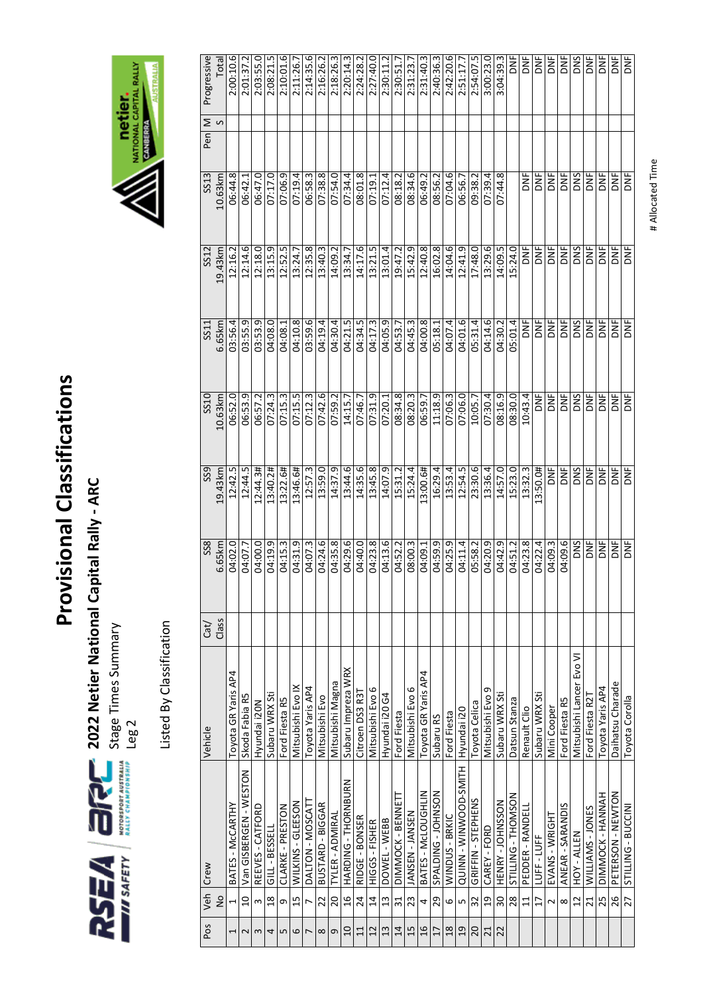

**2022 Netier National Capital Rally ‐ ARC** 

Stage Times Summary

Listed By Classification Listed By Classification



| Pos                      |                          | Veh Crew                   | Vehicle                 | Cat   | SS <sub>8</sub> | SS <sub>9</sub> | SS10       | SS11           | SS12        | SS13      | Pen | Σ            | Progressive                                                |
|--------------------------|--------------------------|----------------------------|-------------------------|-------|-----------------|-----------------|------------|----------------|-------------|-----------|-----|--------------|------------------------------------------------------------|
|                          | $\frac{1}{2}$            |                            |                         | Class | 6.65 km         | 19.43km         | 10.63km    | 6.65km         | 19.43km     | 10.63km   |     | $\mathsf{S}$ | Total                                                      |
| $\overline{\phantom{0}}$ | $\overline{\phantom{0}}$ | BATES - McCARTHY           | Toyota GR Yaris AP4     |       | 04:02.0         | 12:42.5         | 06:52.0    | 03:56.4        | 12:16.2     | 06:44.8   |     |              | 2:00:10.6                                                  |
| $\overline{\mathsf{c}}$  | $\overline{a}$           | Van GISBERGEN - WESTON     | Skoda Fabia R5          |       | 04:07.7         | 12:44.5         | 06:53.9    | 03:55.9        | 12:14.6     | 06:42.1   |     |              | 2:01:37.2                                                  |
| $\boldsymbol{\omega}$    | $\omega$                 | REEVES - CATFORD           | Hyundai i20N            |       | 04:00.0         | 12:44.3#        | 06:57.2    | 03:53.9        | 12:18.0     | 06:47.0   |     |              | 2:03:55.0                                                  |
| 4                        | $\frac{8}{3}$            | GILL - BESSELL             | Subaru WRX Sti          |       | 04:19.9         | 13:40.2#        | 07:24.3    | 04:08.0        | 13:15.9     | 07:17.0   |     |              | 2:08:21.5                                                  |
| LN.                      | G                        | CLARKE - PRESTON           | Ford Fiesta R5          |       | 04:15.3         | 13:22.6#        | 07:15.3    | 04:08.1        | 12:52.5     | 07:06.9   |     |              | 2:10:01.6                                                  |
| 6                        | 15                       | WILKINS - GLEESON          | Mitsubishi Evo IX       |       | 04:31.9         | 13:46.6#        | 07:15.5    | 04:10.8        | 13:24.7     | 07:19.4   |     |              | 2:11:26.                                                   |
| $\overline{ }$           | $\overline{ }$           | DALTON - MOSCATT           | Toyota Yaris AP4        |       | 04:07.3         | 12:57.3         | 07:12.3    | 03:59.6        | 12:35.8     | 06:58.3   |     |              | 2:14:35.6                                                  |
| $\infty$                 | 22                       | BUSTARD - BIGGAR           | Mitsubishi Evo          |       | 04:24.6         | 13:59.0         | 07:42.6    | 04:19.4        | 13:40.3     | 07:38.8   |     |              | 2:16:26.2                                                  |
| G                        | 20                       | TYLER - ADMIRAL            | Mitsubishi Magna        |       | 04:35.8         | 14:37.9         | 07:59.2    | 04:30.4        | 14:09.2     | 07:54.0   |     |              | 2:18:26.3                                                  |
| $\overline{10}$          | $\frac{16}{1}$           | HARDING - THORNBURN        | Subaru Impreza WRX      |       | 04:29.6         | 13:44.6         | 14:15.7    | 04:21.5        | 13:34.7     | 07:34.4   |     |              | 2:20:14.3                                                  |
| 11                       | 24                       | RIDGE - BONSER             | Citroen DS3 R3T         |       | 04:40.0         | 14:35.6         | 07:46.7    | 04:34.5        | 14:17.6     | 08:01.8   |     |              | $2:24:28$ .                                                |
| 12                       | $\overline{1}$           | HIGGS - FISHER             | Mitsubishi Evo 6        |       | 04:23.8         | 13:45.8         | 07:31.9    | 04:17.3        | 13:21.5     | 07:19.1   |     |              | 2:27:40.0                                                  |
| 13                       | $\mathfrak{u}$           | DOWEL - WEBB               | Hyundai i20 G4          |       | 04:13.6         | 14:07.9         | 07:20.1    | 04:05.9        | 13:01.4     | 07:12.4   |     |              | 2:30:11.2                                                  |
| 14                       | $\overline{31}$          | DIMMOCK - BENNET           | Ford Fiesta             |       | 04:52.2         | 15:31.2         | 08:34.8    | 04:53.7        | 19:47.2     | 08:18.2   |     |              | 2:30:51.                                                   |
| 15                       | 23                       | JANSEN - JANSEN            | Mitsubishi Evo 6        |       | 08:00.3         | 15:24.4         | 08:20.3    | 04:45.3        | 15:42.9     | 08:34.6   |     |              | 2:31:23.7                                                  |
| $\frac{1}{6}$            | 4                        | BATES - McLOUGHLIN         | Toyota GR Yaris AP4     |       | 04:09.1         | 13:00.6#        | 06:59.7    | 04:00.8        | 12:40.8     | 06:49.2   |     |              | 2:31:40.3                                                  |
| $\overline{17}$          | 29                       | SPALDING - JOHNSON         | Subaru RS               |       | 04:59.9         | 16:29.4         | 11:18.9    | 05:18.1        | 16:02.8     | 08:56.2   |     |              | 2:40:36.3                                                  |
| $18$                     |                          | WINDUS - BRKIC             | Ford Fiesta             |       | 04:25.9         | 13:53.4         | 07:06.3    | 04:07.4        | 14:04.6     | 07:04.6   |     |              | 2:42:20.6                                                  |
| 29                       | დ $ $ ი                  | <b>QUINN-WINWOOD-SMITH</b> | Hyundai i20             |       | 04:11.4         | 12:54.5         | 07:06.0    | 04:01.6        | 12:41.9     | 06:56.7   |     |              | 2:51:17.7                                                  |
| 20                       | 32                       | GRIFFIN - STEPHENS         | Toyota Celica           |       | 05:58.2         | 23:30.6         | 10:05.7    | 05:31.4        | 17:48.0     | 09:38.2   |     |              | 2:54:07.5                                                  |
| $\overline{21}$          | $\overline{a}$           | CAREY - FORD               | Mitsubishi Evo 9        |       | 04:20.9         | 13:36.4         | 07:30.4    | 04:14.6        | 13:29.6     | 07:39.4   |     |              | 3:00:23.0                                                  |
| 22                       | $\overline{30}$          | HENRY - JOHNSSON           | Subaru WRX St           |       | 04:42.9         | 14:57.0         | 08:16.9    | 04:30.2        | 14:09.5     | 07:44.8   |     |              | 3:04:39.3                                                  |
|                          | 28                       | STILLING - THOMSON         | Datsun Stanza           |       | 04:51.2         | 15:23.0         | 08:30.0    | 05:01.4        | 15:24.0     |           |     |              | $\overline{\overline{\overline{\overline{\overline{z}}}}}$ |
|                          | $\overline{11}$          | PEDDER - RANDELI           | Renault Clio            |       | 04:23.8         | 13:32.3         | 10:43.4    | ξ              | yc          | ă         |     |              | )<br>Ma                                                    |
|                          | $\overline{17}$          | LUFF-LUFF                  | Subaru WRX Sti          |       | 04:22.4         | 13:50.0#        | ŠΕ         | ă              | ă           | ă         |     |              | <b>DAF</b>                                                 |
|                          | $\sim$                   | EVANS - WRIGHT             | Mini Cooper             |       | 04:09.3         | }<br>No         | <b>ME</b>  | i<br>K         | <b>MG</b>   | ă         |     |              | bNF                                                        |
|                          | $\infty$                 | ANEAR - SARANDIS           | Ford Fiesta R5          |       | 04:09.6         | <b>SPI</b>      | <b>ME</b>  | )<br>동         | )<br>이      | <b>SP</b> |     |              | <b>NF</b>                                                  |
|                          | $\overline{1}$           | HOY-ALLEN                  | Mitsubishi Lancer Evo V |       | <b>SNG</b>      | <b>SNO</b>      | <b>DNS</b> | SNO            | <b>SIVO</b> | SNO       |     |              | <b>SNO</b>                                                 |
|                          | $\overline{21}$          | WILLIAMS-JONES             | Ford Fiesta R21         |       | <b>DNF</b>      | <b>MA</b>       | yr         | ă              | <b>MA</b>   | ă         |     |              | ă                                                          |
|                          | 25                       | DIMMOCK - HANNAH           | Toyota Yaris AP4        |       | <b>DNF</b>      | ă               | <b>MG</b>  | ă              | ă           | ă         |     |              |                                                            |
|                          | 26                       | PETERSON - NEWTON          | Daihatsu Charade        |       | <b>DNF</b>      | )<br>이          | <b>SP</b>  | Ξ              | )<br>Ma     | ă         |     |              |                                                            |
|                          | 27                       | STILLING - BUCCINI         | Toyota Corolla          |       | <b>DNF</b>      | <b>MG</b>       | y<br>D     | $\overline{5}$ | y<br>S      | ă         |     |              | <b>MA</b>                                                  |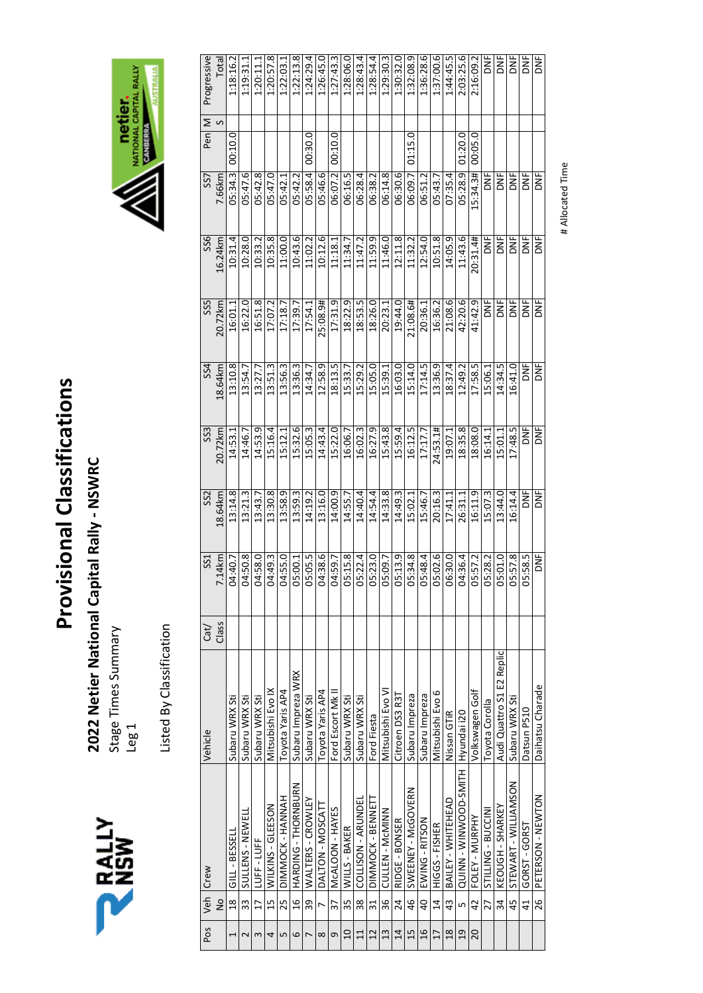

2022 Netier National Capital Rally - NSWRC **2022 Netier National Capital Rally ‐ NSWRC** 

Stage Times Summary Stage Times Summary<br>Leg 1 Listed By Classification Listed By Classification



| Pos             |                | Veh Crew                        | Vehicle                   | Cat/  | SS <sub>1</sub> | SS2     | SS3        | SS4      | SS5      | SS6        | SS7       | Pen     | Σ | Progressive |
|-----------------|----------------|---------------------------------|---------------------------|-------|-----------------|---------|------------|----------|----------|------------|-----------|---------|---|-------------|
|                 | $\frac{1}{2}$  |                                 |                           | Class | $.14$ km        | 18.64km | 20.72km    | 18.64 km | 20.72km  | 16.24km    | 7.66km    |         | S | Total       |
|                 | $\frac{8}{18}$ | GILL - BESSEL                   | Subaru WRX Sti            |       | 04:40.7         | 13:14.8 | 14:53.1    | 13:10.8  | 16:01.1  | 10:31.4    | 05:34.3   | 00:10.0 |   | 1:18:16.2   |
|                 | 33             | SULLENS - NEWELL                | Subaru WRX Sti            |       | 04:50.8         | 13:21.3 | 14:46.7    | 13:54.7  | 16:22.0  | 10:28.0    | 05:47.6   |         |   | 1:19:31.1   |
| 3               | $\frac{1}{2}$  | LUFF-LUFF                       | Subaru WRX Sti            |       | 04:58.0         | 13:43.7 | 14:53.9    | 13:27.7  | 16:51.8  | 10:33.2    | 05:42.8   |         |   | 1:20:11     |
| 4               | 15             | WILKINS - GLEESON               | Mitsubishi Evo IX         |       | 04:49.3         | 13:30.8 | 5:16.4     | 13:51.3  | 17:07.2  | 0.35.8     | 05:47.0   |         |   | 1:20:57.8   |
| ഥ               | 25             | DIMMOCK - HANNAH                | Toyota Yaris AP4          |       | 04:55.0         | 13:58.9 | 15:12.1    | 13:56.3  | 17:18.7  | 11:00.0    | 05:42.1   |         |   | 1:22:03.1   |
| $\circ$         | 16             | HARDING - THORNBURN             | Subaru Impreza WRX        |       | 05:00.1         | 13:59.3 | 5:32.6     | 13:36.3  | 17:39.7  | 0:43.6     | 05:42.2   |         |   | 1:22:13.8   |
|                 | 39             | WALTERS - CROWLEY               | Subaru WRX Sti            |       | 05:05.5         | 14:19.2 | 15:05.3    | 14:34.7  | 17:54.1  | 11:02.2    | 05:58.4   | 00:30.0 |   | 1:24:29.4   |
| $\infty$        | $\overline{1}$ | DALTON-MOSCATT                  | Toyota Yaris AP4          |       | 04:38.6         | 13:16.0 | 14:43.4    | 12:58.9  | 25:08.9# | 0:12.6     | 05:46.6   |         |   | 1:26:45.0   |
| 9               | 37             | McALOON - HAYES                 | Ford Escort Mk I          |       | 04:59.7         | 14:00.9 | 15:22.0    | 18:13.5  | 17:31.9  | 11:18.1    | 06:07.2   | 00:10.0 |   | 1:27:43.3   |
| $\overline{a}$  | 35             | WILLS - BAKER                   | Subaru WRX Sti            |       | 05:15.8         | 14:55.7 | 16:06.7    | 5:33.    | 18:22.9  | 11:34.7    | 06:16.5   |         |   | : 28:06.0   |
| 11              | 38             | COLLISON - ARUNDEL              | Subaru WRX Sti            |       | 05:22.4         | 14:40.4 | 16:02.3    | 15:29.2  | 18:53.5  | 11:47.2    | 06:28.4   |         |   | 1:28:43.4   |
| $\overline{c}$  | 31             | DIMMOCK - BENNETT               | Ford Fiesta               |       | 05:23.0         | 14:54.4 | 16:27.9    | 15:05.0  | 18:26.0  | 11:59.9    | 06:38.2   |         |   | 1:28:54.4   |
| $\mathfrak{u}$  | 36             | CULLEN - McMINN                 | Mitsubishi Evo VI         |       | 05:09.7         | 14:33.8 | 15:43.8    | 15:39.1  | 20:23.1  | 11:46.0    | 06:14.8   |         |   | 1:29:30.3   |
| $\overline{1}$  | 24             | RIDGE - BONSER                  | Citroen DS3 R3T           |       | 05:13.9         | 14:49.3 | 15:59.4    | 16:03.0  | 19:44.0  | 12:11.8    | 06:30.6   |         |   | 1:30:32.0   |
| $\frac{15}{1}$  | 46             | SWEENEY - McGOVERN              | Subaru Impreza            |       | 5:34.8          | 15:02.1 | 16:12.5    | 5:14.0   | 1:08.6#  | 11:32.2    | 16:09.7   | 01:15.0 |   | :32:08.9    |
| $\overline{16}$ | $\overline{a}$ | EWING - RITSON                  | Subaru Impreza            |       | 05:48.4         | 15:46.7 | 17:17.7    | 17:14.5  | 20:36.1  | 12:54.0    | 06:51.2   |         |   | 1:36:28.6   |
| 17              | 14             | HIGGS - FISHER                  | Mitsubishi Evo 6          |       | 05:02.6         | 20:16.3 | 24:53.1#   | 13:36.9  | 16:36.2  | 10:51.8    | 05:43.7   |         |   | 1:37:00.6   |
| 18              | 43             | BAILEY - WHITEHEAD              | Nissan GTIR               |       | 06:30.0         | 17:41.1 | 19:07.1    | 18:37.4  | 21:08.6  | 14:05.9    | 07:35.4   |         |   | 1:44:45.5   |
| $\overline{19}$ | $\overline{5}$ | QUINN-WINVOOD-SMITH Hyundai i20 |                           |       | 04:36.4         | 26:31.1 | 18:35.8    | 12:49.2  | 42:20.6  | 11:43.6    | 05:28.9   | 01:20.0 |   | 2:03:25.6   |
| 20              | 42             | FOLEY - MURPHY                  | Volkswagen Golf           |       | 05:57.2         | 16:11.9 | 18:08.0    | 17:58.5  | 41:42.9  | 20:31.4#   | 15:34.3#  | 00:05.0 |   | 2:16:09.2   |
|                 | 27             | STILLING - BUCCINI              | Toyota Corolla            |       | 05:28.2         | 5:07.3  | 16:14.     | 5:06.1   | ž        | ž          | ž         |         |   | ž           |
|                 | 34             | KEOUGH - SHARKEY                | Audi Quattro S1 E2 Replic |       | 05:01.0         | 13:44.0 | 15:01.1    | 14:34.5  | žΞ       | i<br>Κ     | ž         |         |   | ž           |
|                 | 45             | STEWART - WILLIAMSON            | Subaru WRX Sti            |       | 05:57.8         | 16:14.4 | 17:48.5    | 16:41.0  | )<br>Σ   | ă          | i<br>Zo   |         |   | y<br>DN     |
|                 | 41             | GORST-GORST                     | Datsun P510               |       | 05:58.5         | bk<br>B | <b>DNF</b> | DNF      | y<br>DN  | NF<br>S    | <b>ME</b> |         |   | y<br>DN     |
|                 | 26             | PETERSON - NEWTON               | Daihatsu Charade          |       | <b>DNF</b>      | )<br>Σ  | <b>D</b>   | DNF<br>O | žΕ       | <b>SKE</b> | ăΝΕ       |         |   | ă           |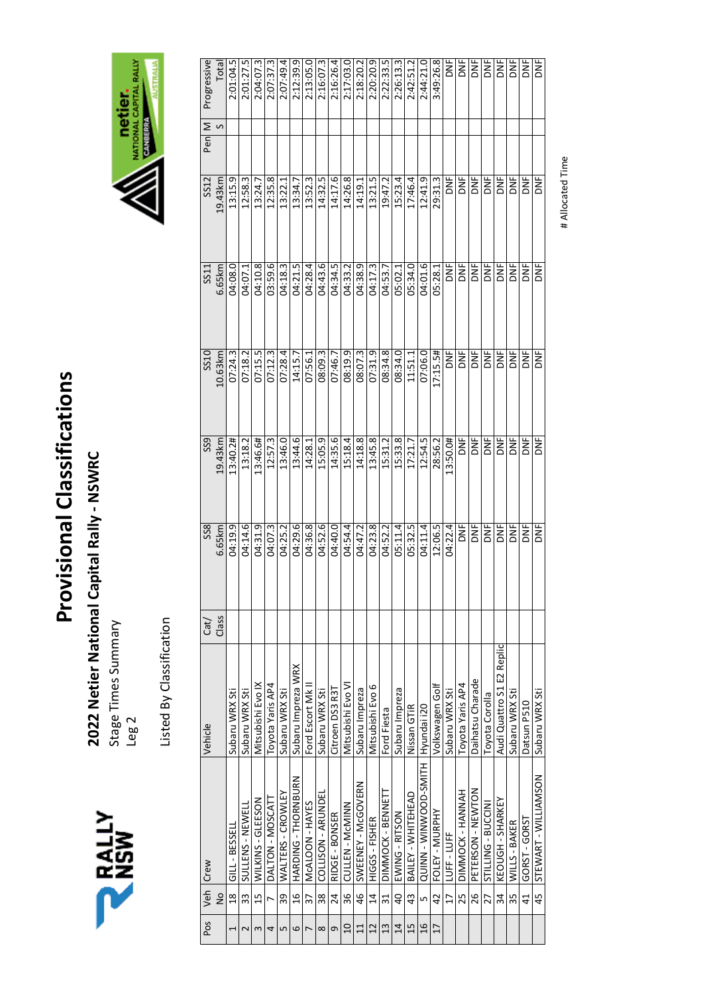

Stage Times Summary Stage Times Summary<br>Leg 2

RALLY

Listed By Classification Listed By Classification



| SS <sub>9</sub><br>19.43km<br>SS <sub>8</sub><br>6.65km<br>Class<br>Cat/ |            |           | SS10<br>10.63km | 6.65km<br>SS11 | SS12<br>19.43km | Progressive<br>Σ<br>S<br>Pen |
|--------------------------------------------------------------------------|------------|-----------|-----------------|----------------|-----------------|------------------------------|
|                                                                          | 04:19.9    | 13:40.2#  | 07:24.3         | 04:08.0        | 13:15.9         | 2:01:04.5                    |
| 04:14.6                                                                  |            | 13:18.2   | 07:18.2         | 04:07.1        | 12:58.3         | 2:01:27.5                    |
| 04:31.9                                                                  |            | 13:46.6#  | 07:15.5         | 04:10.8        | 13:24.7         | 2:04:07.3                    |
| 04:07.3                                                                  |            | 12:57.3   | 07:12.3         | 03:59.6        | 12:35.8         | 2:07:37.3                    |
| 04:25.2                                                                  |            | 13:46.0   | 07:28.4         | 04:18.3        | 13:22.1         | 2:07:49.4                    |
|                                                                          | 04:29.6    | 13:44.6   | 14:15.7         | 04:21.5        | 13:34.7         | 2:12:39.9                    |
| 04:36.8                                                                  |            | 14:28.1   | 07:56.1         | 04:28.4        | 13:52.3         | 2:13:05.0                    |
| 04:52.6                                                                  |            | 15:05.9   | 08:09.3         | 04:43.6        | 14:32.5         | 2:16:07.3                    |
| 04:40.0                                                                  |            | 14:35.6   | 07:46.7         | 04:34.5        | 14:17.6         | 2:16:26.4                    |
| 04:54.4                                                                  |            | 15:18.4   | 08:19.9         | 04:33.2        | 14:26.8         | 2:17:03.0                    |
| 04:47.2                                                                  |            | 14:18.8   | 08:07.3         | 04:38.9        | 14:19.1         | 2:18:20.2                    |
| 04:23.8                                                                  |            | 13:45.8   | 07:31.9         | 04:17.3        | 13:21.5         | 2:20:20.9                    |
| 04:52.2                                                                  |            | 15:31.2   | 08:34.8         | 04:53.7        | 19:47.2         | 2:22:33.5                    |
| 05:11.4                                                                  |            | 15:33.8   | 08:34.0         | 05:02.1        | 15:23.4         | 2:26:13.3                    |
| 05:32.5                                                                  |            | 17:21.7   | 11:51.1         | 05:34.0        | 17:46.4         | 2:42:51.2                    |
|                                                                          | 04:11.4    | 12:54.5   | 07:06.0         | 04:01.6        | 12:41.9         | 2:44:21.0                    |
| 12:06.5                                                                  |            | 28:56.2   | 17:15.5#        | 05:28.1        | 29:31.3         | 3:49:26.8                    |
| 04:22.4                                                                  |            | 13:50.0#  | <b>DNF</b>      | <b>SPE</b>     | y<br>DN         |                              |
|                                                                          | DNF        | <b>ME</b> |                 | <b>ME</b>      | <b>DNF</b>      |                              |
|                                                                          | <b>SP</b>  | ξ         | <b>SKL</b>      | <b>MG</b>      | ξ               |                              |
|                                                                          | DNF        | ا<br>NF   | <b>DATE</b>     | )<br>Σ         | i<br>Κ          |                              |
| Audi Quattro S1 E2 Replic                                                | yc         | yc        | <b>DATE</b>     | ΣE             | ž               |                              |
|                                                                          | yc         | <b>SP</b> | <b>DNF</b>      | ă              | ă               |                              |
|                                                                          | mu<br>S    | )<br>이    | <b>SNE</b>      | <b>SP</b>      | Ĕ               |                              |
|                                                                          | <b>DNF</b> | )<br>Σ    | <b>DANE</b>     | bk<br>S        | <b>B</b>        |                              |
|                                                                          |            |           |                 |                |                 |                              |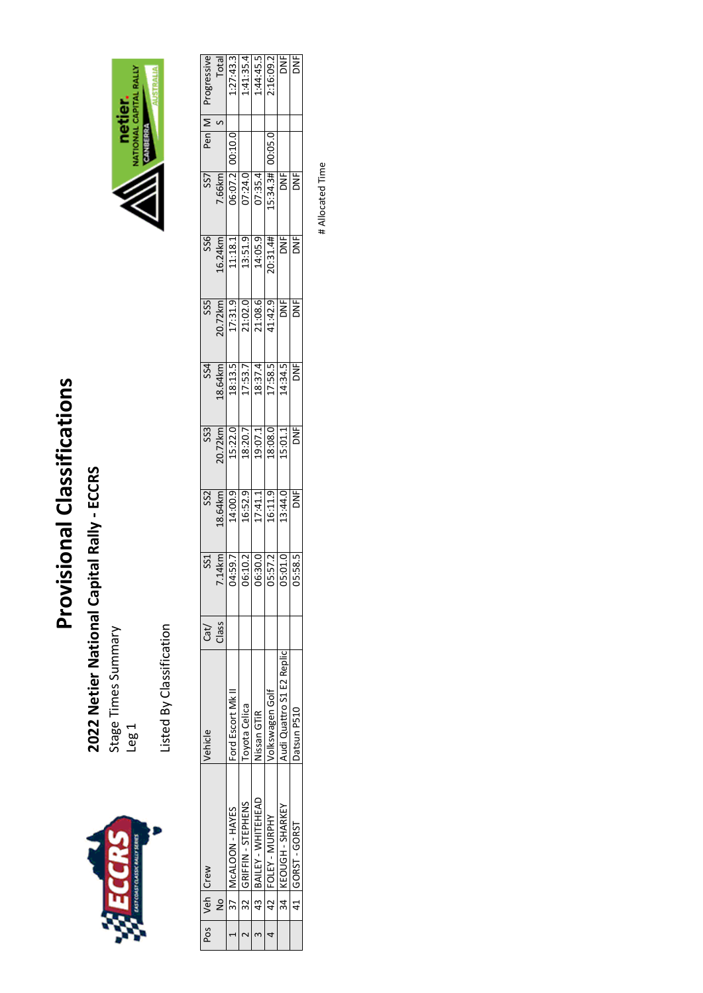

## 2022 Netier National Capital Rally - ECCRS **2022 Netier National Capital Rally ‐ ECCRS**

Stage Times Summary Stage Times Summary<br>Leg 1

Listed By Classification Listed By Classification



| <i>rogressive</i> |               |                      |                     |                       | $\begin{array}{r} \hline \text{Total} \\ \text{1:27:43.3} \\ \text{1:41:35.4} \\ \text{1:44:45.5} \\ \text{2:16:09.2} \\ \hline \end{array}$                                                                                                                                                                                                                                                                     |                           | ă              |
|-------------------|---------------|----------------------|---------------------|-----------------------|------------------------------------------------------------------------------------------------------------------------------------------------------------------------------------------------------------------------------------------------------------------------------------------------------------------------------------------------------------------------------------------------------------------|---------------------------|----------------|
| Pen $\vert$ M     |               | 00:10.0              |                     |                       | 0.05.0                                                                                                                                                                                                                                                                                                                                                                                                           |                           |                |
| SS7               |               |                      |                     |                       | $\frac{7.66km}{06.07.21}$ $\frac{06.07.2}{07.34.34}$ $\frac{07.34.34}{09.34.34}$ $\frac{000}{00}$                                                                                                                                                                                                                                                                                                                |                           | DNF            |
| SS <sub>6</sub>   |               |                      |                     |                       | $\frac{16.24 \text{km}}{11:18.1}$ $\frac{11:18.1}{13:51.9}$ $\frac{14:05.9}{10:31.4#}$ $\frac{14}{10}$                                                                                                                                                                                                                                                                                                           |                           | i<br>K         |
| SSS               |               |                      |                     |                       | $\begin{array}{r l} 20.72km \\ \hline 17:31.9 \\ \hline 21:02.0 \\ \hline 21:08.6 \\ \hline 14:42.9 \\ \hline \end{array}$                                                                                                                                                                                                                                                                                       |                           | y<br>S         |
|                   |               |                      |                     |                       | SS4<br>8.64km<br>18:13.5<br>17:537.4<br>18:37.4<br>17:58.5<br>14:34.5                                                                                                                                                                                                                                                                                                                                            |                           | DNF            |
| SS <sub>3</sub>   |               |                      |                     |                       | $\begin{array}{ c c c c }\hline\hline 20.72km & 1.3233\\ \hline 15.22.0 & 1.32333\\ \hline 18.20.7 & 1.32333\\ \hline 19.07.1 & 1.32333\\ \hline 15.01.1 & 1.53333\\ \hline \end{array}$                                                                                                                                                                                                                         |                           | $\overline{5}$ |
| SS <sub>2</sub>   |               |                      |                     |                       | $\begin{array}{ l l } \hline & \multicolumn{1}{l }{\textbf{8.64km}}\\ \hline \multicolumn{1}{l }{\textbf{14.00.9}} & \multicolumn{1}{l }{\textbf{15.11.9}}\\ \hline \multicolumn{1}{l }{\textbf{16.52.9}} & \multicolumn{1}{l }{\textbf{17.14.1}}\\ \hline \multicolumn{1}{l }{\textbf{16.52.9}} & \multicolumn{1}{l }{\textbf{17.14.1}}\\ \hline \multicolumn{1}{l }{\textbf{16.11.9}} & \multicolumn{1}{l }{\$ |                           | $\overline{5}$ |
| SS <sub>1</sub>   |               |                      |                     |                       | $\frac{1.14 \text{ km}}{1.59.7}$<br>$\frac{1.59.7}{1.59.2}$<br>$\frac{1.59.7}{1.57.2}$<br>$\frac{1.57.2}{1.01.0}$                                                                                                                                                                                                                                                                                                |                           | 58.5           |
| Cat/              | Class         |                      |                     |                       |                                                                                                                                                                                                                                                                                                                                                                                                                  |                           |                |
| /ehicle           |               | Ford Escort Mk II    | oyota Celica        | <b>Jissan GTIR</b>    | olkswagen Golf                                                                                                                                                                                                                                                                                                                                                                                                   | Audi Quattro S1 E2 Replic | Datsun P510    |
|                   |               | 37   McALOON - HAYES | 32 GRIFFIN-STEPHENS | 43 BAILEY - WHITEHEAD | 42 FOLEY - MURPHY                                                                                                                                                                                                                                                                                                                                                                                                | 34 KEOUGH - SHARKEY       | 41 GORST-GORST |
| Pos   Veh   Crew  | $\frac{1}{2}$ |                      |                     |                       |                                                                                                                                                                                                                                                                                                                                                                                                                  |                           |                |
|                   |               |                      |                     |                       |                                                                                                                                                                                                                                                                                                                                                                                                                  |                           |                |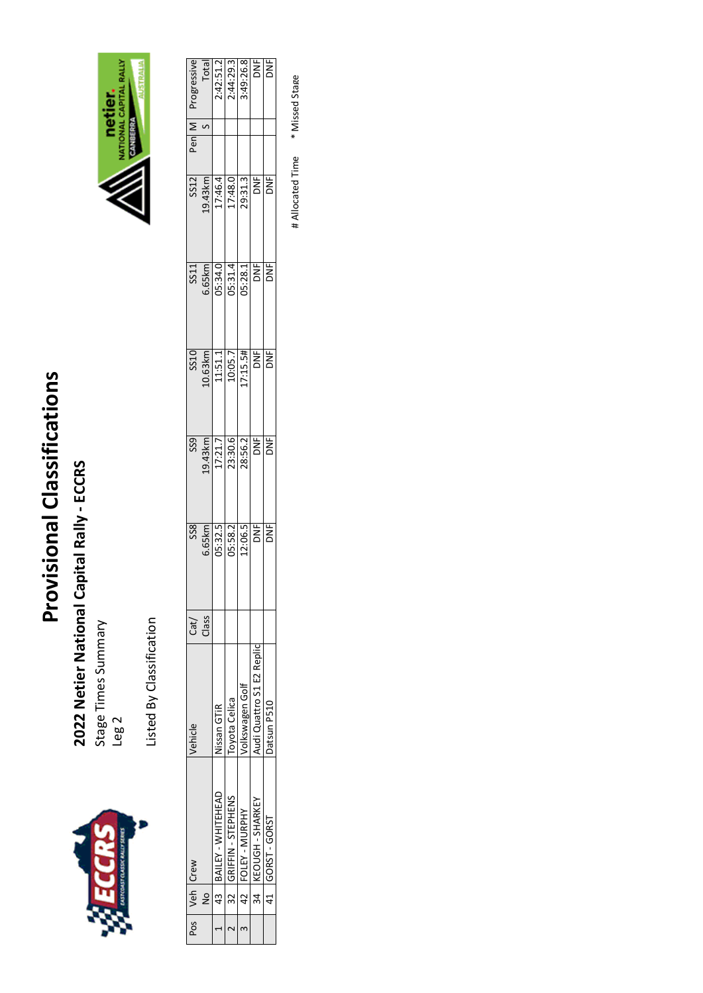

2022 Netier National Capital Rally - ECCRS **2022 Netier National Capital Rally ‐ ECCRS** 

Stage Times Summary Stage Times Summary<br>Leg 2





Listed By Classification Listed By Classification

|   | Pos   Veh   Crew        | Vehicle                   | Cat/  | SS <sub>8</sub>                         | SS <sub>9</sub>                                             |                                                                                                        |                                                                                                      |                                                                                                                    | Pen∣M | <i>rogressive</i>                            |
|---|-------------------------|---------------------------|-------|-----------------------------------------|-------------------------------------------------------------|--------------------------------------------------------------------------------------------------------|------------------------------------------------------------------------------------------------------|--------------------------------------------------------------------------------------------------------------------|-------|----------------------------------------------|
| Ş |                         |                           | Class |                                         |                                                             |                                                                                                        |                                                                                                      |                                                                                                                    |       |                                              |
|   | 43 BAILEY - WHITEHEAD   | Nissan GTIR               |       |                                         |                                                             |                                                                                                        |                                                                                                      |                                                                                                                    |       |                                              |
|   | 32   GRIFFIN - STEPHENS | Toyota Celica             |       | 6.65km<br>05:32.5<br>05:58.2<br>12:06.5 | $\frac{19.43 \text{km}}{17:21.7}$ $\frac{17:21.7}{28:56.2}$ | $\frac{10.63 \text{km}}{11.51.1}$ $\frac{10.63 \text{km}}{10.06.7}$ $\frac{10.63 \text{km}}{10.15.5#}$ | $\begin{array}{r} 3311 \\ 6.65 \text{km} \\ \hline 05:34.0 \\ 05:31.4 \\ \hline 05:38.1 \end{array}$ | $\begin{array}{r} 3512 \\ 3514 \\ \underline{19.43km} \\ 17.46.4 \\ \underline{17.48.0} \\ 29.31.3 \\ \end{array}$ |       | Total<br>2:42:51.2<br>2:44:29.3<br>3:49:26.8 |
|   | 42 FOLEY - MURPHY       | /olkswagen Golf           |       |                                         |                                                             |                                                                                                        |                                                                                                      |                                                                                                                    |       |                                              |
|   | 34   KEOUGH - SHARKEY   | Audi Quattro S1 E2 Replic |       | ă                                       | <b>DNF</b>                                                  | <b>DNF</b>                                                                                             | <b>SP</b>                                                                                            | DNF)                                                                                                               |       | DNF <sub>1</sub>                             |
|   | 41 GORST-GORST          | Datsun P510               |       | i<br>No                                 | )<br>Σ                                                      | <b>DNF</b>                                                                                             | ž                                                                                                    | i<br>K                                                                                                             |       | ă                                            |

# Allocated Time \* Missed Stage # Allocated Time \* Missed Stage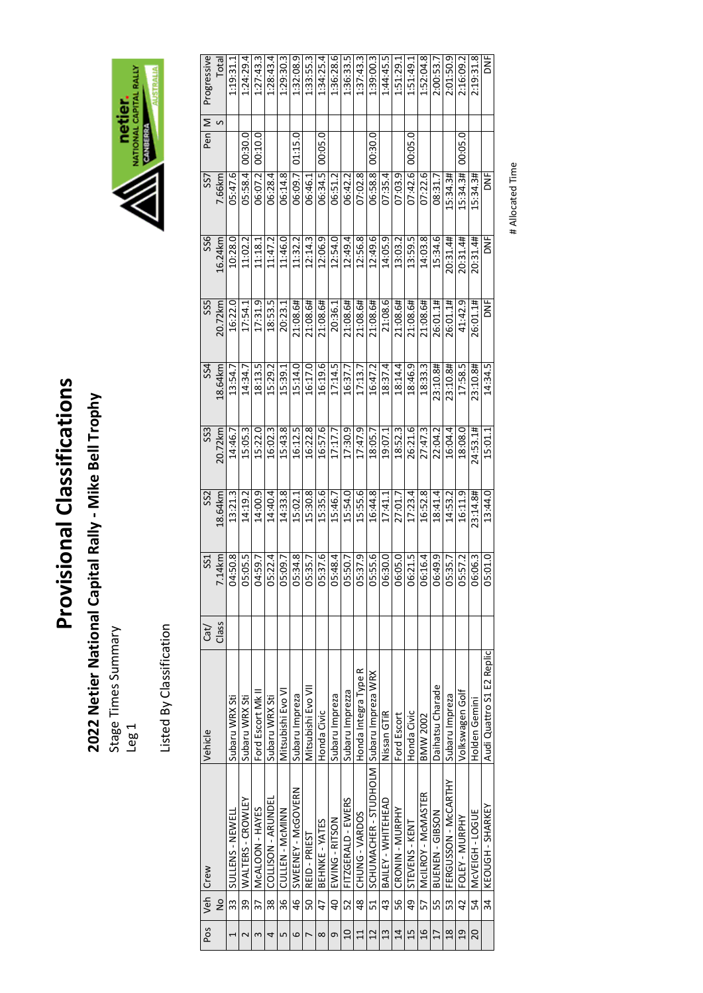# 2022 Netier National Capital Rally - Mike Bell Trophy **2022 Netier National Capital Rally ‐ Mike Bell Trophy**

Stage Times Summary Stage Times Summary<br>Leg 1

Listed By Classification Listed By Classification



| Progressive     | Total         | 1:19:31.         | 1:24:29.          | 1:27:43.                          | 1:28:43.           | 1:29:30.          | 1:32:08.9          | 1:33:55.          | 1:34:25.       | 1:36:28.6      | 1:36:33.           | 1:37:43.3            | 1:39:00.3                                | 1:44:45.5             | 1:51:29.        | 1:51:49.1      | 1:52:04.8               | 2:00:53.         | 2:01:50.9            | 2:16:09.2         | 2:19:31.8     | ž                         |
|-----------------|---------------|------------------|-------------------|-----------------------------------|--------------------|-------------------|--------------------|-------------------|----------------|----------------|--------------------|----------------------|------------------------------------------|-----------------------|-----------------|----------------|-------------------------|------------------|----------------------|-------------------|---------------|---------------------------|
| Σ<br>Pen        |               |                  |                   |                                   |                    |                   |                    |                   |                |                |                    |                      |                                          |                       |                 |                |                         |                  |                      |                   |               |                           |
|                 |               |                  | 00:30.0           | 00:10.0                           |                    |                   | 01:15.             |                   | 0.205.0        |                |                    |                      | 00:30.0                                  |                       |                 | 00:05.0        |                         |                  |                      | 00:05.0           |               |                           |
| SS <sub>7</sub> | 7.66km        | 05:47.6          | 05:58.4           | 06:07.2                           | 06:28.4            | 06:14.8           | 06:09.7            | 06:46.1           | 06:34.5        | 06:51.2        | 06:42.2            | 07:02.8              | 06:58.8                                  | 07:35.4               | 07:03.9         | 07:42.6        | 6. دد د ۱               | 08:31.7          | 15:34.3#             | 15:34.3#          | 15:34.3#      | DNF                       |
| SS6             | 16.24km       | 10:28.0          | 11:02.2           | 11:18.1                           | 11:47.2            | 11:46.0           | 11:32.2            | 12:14.3           | 12:06.9        | 12:54.0        | 12:49.4            | 12:56.8              | 12:49.6                                  | 14:05.9               | 13:03.2         | 13:59.5        | 14:03.8                 | 15:34.6          | 20:31.4#             | 20:31.4#          | 20:31.4#      | e<br>N                    |
| SS5             | 20.72km       | 16:22.0          | 17:54.1           | 17:31.9                           | 18:53.5            | 20:23.1           | 21:08.6#           | 1:08.6#           | 21:08.6#       | 20:36.1        | 21:08.6#           | 21:08.6#             | 21:08.6#                                 | 21:08.6               | 21:08.6#        | 21:08.6#       | 21:08.6#                | 26:01.1#         | 26:01.1#             | 41:42.9           | 26:01.1#      | ž                         |
| 554             | 18.64 km      | 13:54.           | 14:34.7           | 18:13.5                           | 15:29.2            | 15:39.            | 15:14.0            | 16:17.0           | 16:19.6        | 17:14.5        | 16:37.7            | 17:13.               | 16:47.2                                  | 18:37.4               | 18:14.4         | 18:46.         | 18:33.3                 | 23:10.8#         | 23:10.8#             | 17:58.5           | 23:10.8#      | 14:34.5                   |
| SS3             | 20.72km       | 14:46.7          | 5:05.3            | 5:22.0                            | 16:02.3            | 5:43.8            | 16:12.5            | 16:22.8           | 16:57.6        | 17:17.7        | 17:30.9            | 17:47.9              | 18:05.7                                  | 19:07.1               | 18:52.3         | 26:21.6        | 27:47.3                 | 22:04.2          | 16:04.4              | 18:08.0           | 24:53.1#      | 15:01.1                   |
| SS <sub>2</sub> | 18.64km       | 13:21.3          | 14:19.2           | 14:00.9                           | 14:40.4            | 14:33.8           | 15:02.1            | 15:30.8           | 15:35.6        | 15:46.7        | 15:54.0            | 15:55.6              | 16:44.8                                  | 17:41.1               | 27:01.7         | 17:23.4        | 16:52.8                 | 18:41.4          | 14:53.2              | 16:11.9           | 23:14.8#      | 13:44.0                   |
| SS <sub>1</sub> | 7.14km        | 04:50.8          | 05:05.5           | 04:59.7                           | 05:22.4            | 05:09.7           | 05:34.8            | 05:35.7           | 05:37.6        | 05:48.4        | 05:50.7            | 05:37.9              | 05:55.6                                  | 06:30.0               | 06:05.0         | 06:21.5        | 06:16.4                 | 06:49.9          | 05:35.7              | 05:57.2           | 06:06.3       | 05:01.0                   |
| Cat/            | Class         |                  |                   |                                   |                    |                   |                    |                   |                |                |                    |                      |                                          |                       |                 |                |                         |                  |                      |                   |               |                           |
| Vehicle         |               | Subaru WRX Sti   | Subaru WRX Sti    | Ford Escort Mk I                  | Subaru WRX Sti     | Mitsubishi Evo VI | Subaru Impreza     | Mitsubishi Evo VI | Honda Civic    | Subaru Impreza | Subaru Imprezza    | Honda Integra Type R |                                          | Nissan GTIR           | Ford Escort     | Honda Civic    | <b>BMW 2002</b>         | Daihatsu Charade | Subaru Impreza       | Volkswagen Golf   | Holden Gemini | Audi Quattro S1 E2 Replic |
| Veh Crew        |               | SULLENS - NEWELI | WALTERS - CROWLEY | McALOON - HAYES<br>$\frac{37}{2}$ | COLLISON - ARUNDEL | CULLEN - MCMINN   | SWEENEY - McGOVERN | REID - PRIEST     | BEHNKE - YATES | EWING-RITSON   | FITZGERALD - EWERS | CHUNG - VARDOS       | SCHUMACHER - STUDHOLM Subaru Impreza WRX | 43 BAILEY - WHITEHEAD | CRONIN - MURPHY | STEVENS - KENT | 57   MCILROY - MCMASTER | BUENEN-GIBSON    | FERGUSSON - McCARTHY | 42 FOLEY - MURPHY | MCVEIGH-LOGUE | 34 KEOUGH-SHARKEY         |
|                 | $\frac{1}{2}$ | 33               | 39                |                                   | 38                 | $\frac{1}{36}$    | 46                 | 50                | 47             | $\overline{0}$ | 52                 | 48                   | 51                                       |                       | 56              | q9             |                         | 55               | 53                   |                   | 54            |                           |
| Pos             |               |                  |                   |                                   |                    | Ľņ                | 6                  |                   | $\infty$       | σ              | $\overline{a}$     | 11                   | 12                                       | $\frac{3}{2}$         | $\overline{4}$  | 15             | $\overline{16}$         | 17               | 18                   | $\overline{a}$    | 20            |                           |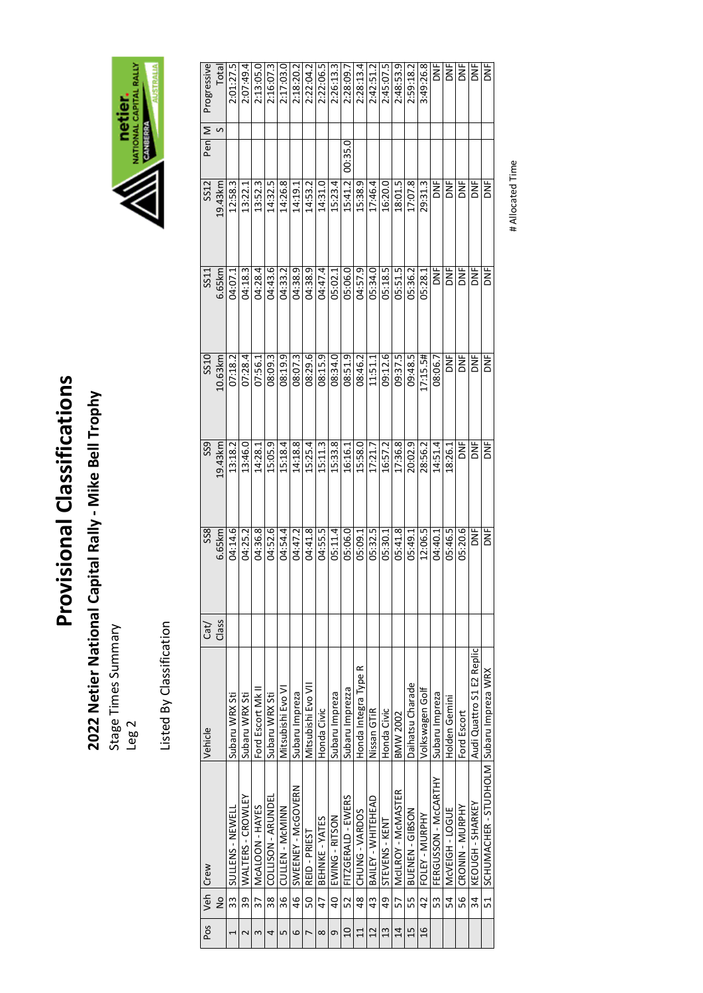# 2022 Netier National Capital Rally - Mike Bell Trophy **2022 Netier National Capital Rally ‐ Mike Bell Trophy**

Stage Times Summary Stage Times Summary<br>Leg 2

Listed By Classification Listed By Classification



| Pos            |                | Veh Crew                                 | Vehicle                   | $\text{Cat} /$ | SS <sub>8</sub> | SS <sub>9</sub> | SS10       | SS11       | SS12    | Pen $\vert$ M | Progressive  |
|----------------|----------------|------------------------------------------|---------------------------|----------------|-----------------|-----------------|------------|------------|---------|---------------|--------------|
|                | $\frac{1}{2}$  |                                          |                           | Class          | 6.65km          | 19.43km         | 10.63km    | 6.65km     | 19.43km |               | <b>Total</b> |
| 1              | 33             | SULLENS - NEWELL                         | Subaru WRX Sti            |                | 04:14.6         | 13:18.2         | 07:18.2    | 04:07.1    | 12:58.3 |               | 2:01:27.5    |
| 2              | 39             | WALTERS - CROWLEY                        | Subaru WRX Sti            |                | 04:25.2         | 13:46.0         | 07:28.4    | 04:18.3    | 13:22.1 |               | 2:07:49.4    |
| 3              |                | 37   McALOON - HAYES                     | Ford Escort Mk II         |                | 04:36.8         | 14:28.1         | 07:56.1    | 04:28.4    | 13:52.3 |               | 2:13:05.0    |
| 4              | ვ<br>ო         | COLLISON - ARUNDEL                       | Subaru WRX Sti            |                | 04:52.6         | 15:05.9         | 08:09.3    | 04:43.6    | 14:32.5 |               | 2:16:07.3    |
| 5              | 36             | CULLEN - MCMINN                          | Mitsubishi Evo VI         |                | 04:54.4         | 15:18.4         | 08:19.9    | 04:33.2    | 14:26.8 |               | 2:17:03.0    |
| 6              | 46             | SWEENEY - McGOVERN                       | Subaru Impreza            |                | 04:47.2         | 14:18.8         | 08:07.3    | 04:38.9    | 14:19.1 |               | 2:18:20.2    |
| $\overline{ }$ | 50             | REID-PRIEST                              | Mitsubishi Evo VII        |                | 04:41.8         | 15:25.4         | 08:29.6    | 04:38.9    | 14:53.2 |               | 2:22:04.2    |
| $\infty$       | 47             | BEHNKE - YATES                           | Honda Civic               |                | 04:55.5         | 15:11.3         | 08:15.9    | 04:47.4    | 14:31.0 |               | 2:22:06.5    |
| 9              | $\overline{a}$ | EWING - RITSON                           | Subaru Impreza            |                | 05:11.4         | 15:33.8         | 08:34.0    | 05:02.1    | 15:23.4 |               | 2:26:13.3    |
| $\overline{a}$ | 52             | FITZGERALD - EWERS                       | Subaru Imprezza           |                | 05:06.0         | 16:16.1         | 08:51.9    | 05:06.0    | 15:41.2 | 00:35.0       | 2:28:09.7    |
| 11             |                | 48 CHUNG - VARDOS                        | Honda Integra Type R      |                | 05:09.1         | 15:58.0         | 08:46.2    | 04:57.9    | 15:38.9 |               | 2:28:13.4    |
| 12             | 43             | BAILEY - WHITEHEAD                       | Nissan GTIR               |                | 05:32.5         | 17:21.7         | 11:51.1    | 05:34.0    | 17:46.4 |               | 2:42:51.2    |
| 13             |                | 49   STEVENS - KENT                      | Honda Civic               |                | 05:30.1         | 16:57.2         | 09:12.6    | 05:18.5    | 16:20.0 |               | 2:45:07.5    |
| 14             |                | 57   McILROY - McMASTER                  | <b>BMW 2002</b>           |                | 05:41.8         | 17:36.8         | 09:37.5    | 05:51.5    | 18:01.5 |               | 2:48:53.9    |
| 15             | 55             | BUENEN-GIBSON                            | Daihatsu Charade          |                | 05:49.1         | 20:02.9         | 09:48.5    | 05:36.2    | 17:07.8 |               | 2:59:18.2    |
| 16             | 42             | FOLEY - MURPHY                           | Volkswagen Golf           |                | 12:06.5         | 28:56.2         | 17:15.5#   | 05:28.1    | 29:31.3 |               | 3:49:26.8    |
|                | 53             | FERGUSSON - McCARTHY                     | Subaru Impreza            |                | 04:40.1         | 14:51.4         | 08:06.7    | DNF<br>O   | )<br>Σ  |               | DNF          |
|                | 54             | MCVEIGH - LOGUE                          | Holden Gemini             |                | 05:46.5         | 18:26.1         | i<br>Κ     | DNE<br>O   | }<br>N  |               | <b>ME</b>    |
|                | 56<br>5        | CRONIN - MURPHY                          | Ford Escort               |                | 05:20.6         | b<br>K          | <b>DNF</b> | ă          | y<br>D  |               | ž            |
|                | 34             | KEOUGH - SHARKEY                         | Audi Quattro S1 E2 Replic |                | <b>NE</b>       | <b>NE</b>       | DNF        | ž          | ž       |               | Ē            |
|                | 51             | SCHUMACHER - STUDHOLM Subaru Impreza WRX |                           |                | DNF             | ا<br>NF         | DNF        | <b>DAF</b> | )<br>Σ  |               | DNF          |
|                |                |                                          |                           |                |                 |                 |            |            |         |               |              |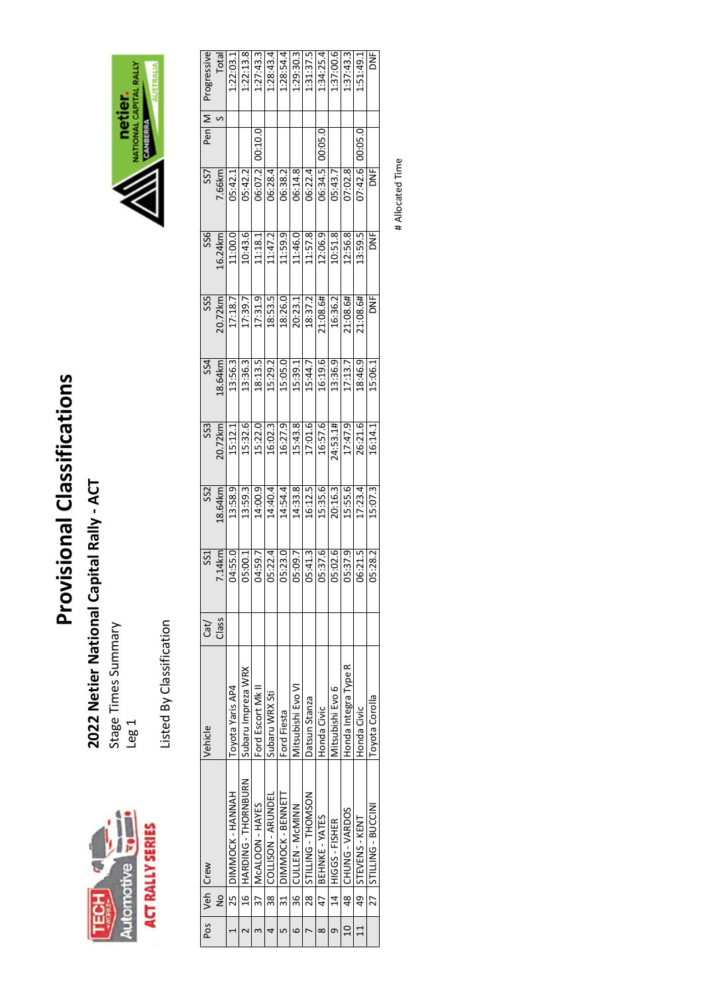

2022 Netier National Capital Rally - ACT **2022 Netier National Capital Rally ‐ ACT** 

Stage Times Summary Stage Times Summary<br>Leg 1





| Progressive     | Total         | 1:22:03.1           | 1:22:13.8            | 1:27:43.3            | 1:28:43.4             | 1:28:54.4            | 1:29:30.3          | 1:31:37.5            | 1:34:25.4         | 1:37:00.6         | 1:37:43.3            | 1:51:49.1         | <b>ME</b>             |
|-----------------|---------------|---------------------|----------------------|----------------------|-----------------------|----------------------|--------------------|----------------------|-------------------|-------------------|----------------------|-------------------|-----------------------|
|                 | S             |                     |                      |                      |                       |                      |                    |                      |                   |                   |                      |                   |                       |
| Pen M           |               |                     |                      | 00:10.0              |                       |                      |                    |                      | 00:05.0           |                   |                      | 00:05.0           |                       |
| SS7             | 7.66km        | 05:42.1             | 05:42.2              | 06:07.2              | 06:28.4               | 06:38.2              | 06:14.8            | 06:22.4              | 06:34.5           | 05:43.7           | 07:02.8              | 07:42.6           | <b>DNF</b>            |
| SS6             | 16.24km       | 11:00.0             | 10:43.6              | 11:18.1              | 11:47.2               | 11:59.9              | 11:46.0            | 11:57.8              | 12:06.9           | 10:51.8           | 12:56.8              | 13:59.5           | Η<br>Κ                |
| SS5             | 20.72km       | 17:18.7             | 17:39.7              | 17:31.9              | 18:53.5               | 18:26.0              | 20:23.1            | 18:37.2              | 21:08.6#          | 16:36.2           | 21:08.6#             | 21:08.6#          | DNE <sub>1</sub>      |
| <b>SS4</b>      | 18.64km       | 13:56.3             | 13:36.3              | 18:13.5              | 15:29.2               | 15:05.0              | 15:39.1            | 15:44.7              | 16:19.6           | 13:36.9           | 17:13.7              | 18:46.9           | 15:06.1               |
| SS <sub>3</sub> | 20.72km       | 15:12.1             | 15:32.6              | 15:22.0              | 16:02.3               | 16:27.9              | 15:43.8            | 17:01.6              | 16:57.6           | 24:53.1#          | 17:47.9              | 26:21.6           | 16:14.1               |
| SS <sub>2</sub> | 18.64km       | 13:58.9             | 13:59.3              | 14:00.9              | 14:40.4               | 14:54.4              | 14:33.8            | 16:12.5              | 15:35.6           | 20:16.3           | 15:55.6              | 17:23.4           | 15:07.3               |
| SS1             | $-1.14$ km    | A:55.0              | 5:00.1               | 4:59.7               | 5:22.4                | 5:23.0               | 5:09.7             | 5:41.3               | 5:37.6            | 5:02.6            | 5:37.9               | 6:21.5            | 5:28.2                |
| Cat/            | Class         |                     |                      |                      |                       |                      |                    |                      |                   |                   |                      |                   |                       |
| <b>Nehicle</b>  |               | Toyota Yaris AP4    | Subaru Impreza WRX   | Ford Escort Mk II    | Subaru WRX Sti        | Ford Fiesta          | Mitsubishi Evo VI  | Datsun Stanza        | Honda Civic       | Mitsubishi Evo 6  | Honda Integra Type R | Honda Civic       | Toyota Corolla        |
| Veh Crew        |               | 25 DIMMOCK - HANNAH | 16 HARDING-THORNBURN | 37   McALOON - HAYES | 38 COLLISON - ARUNDEL | 31 DIMMOCK - BENNETT | 36 CULLEN - McMINN | 28  STILLING-THOMSON | 47 BEHNKE - YATES | 14 HIGGS - FISHER | 48 CHUNG-VARDOS      | 49 STEVENS - KENT | 27 STILLING - BUCCINI |
|                 | $\frac{1}{2}$ |                     |                      |                      |                       |                      |                    |                      |                   |                   |                      |                   |                       |
| $P_{OS}$        |               |                     |                      |                      |                       |                      |                    |                      |                   |                   |                      |                   |                       |